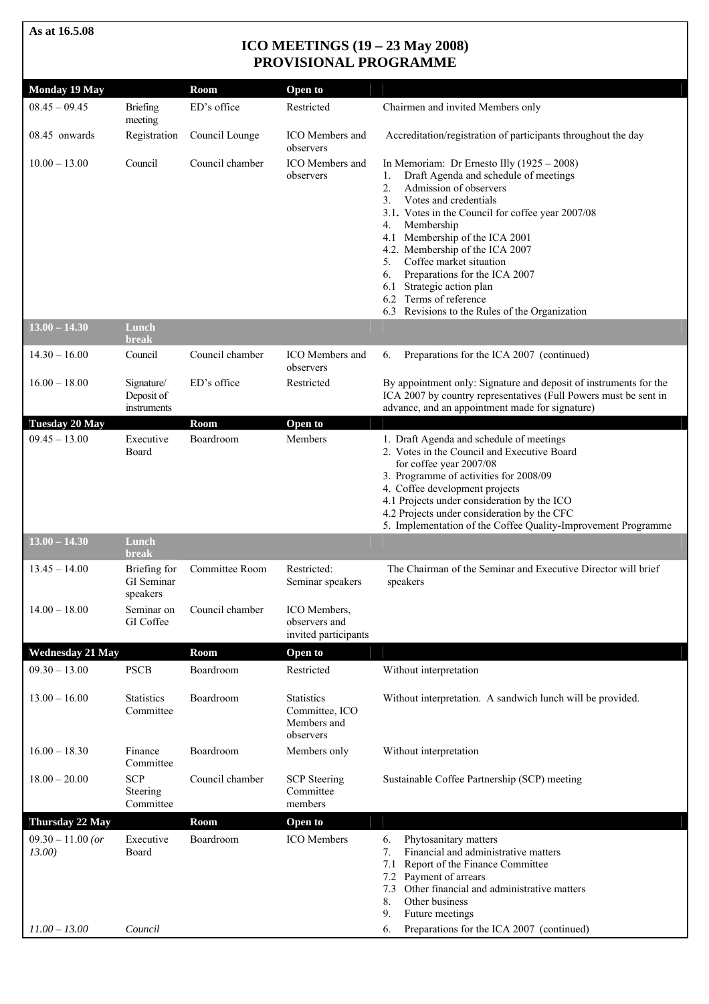**As at 16.5.08** 

# **ICO MEETINGS (19 – 23 May 2008) PROVISIONAL PROGRAMME**

| <b>Monday 19 May</b>                             |                                         | Room            | Open to                                                         |                                                                                                                                                                                                                                                                                                                                                                                                                                                                                                 |
|--------------------------------------------------|-----------------------------------------|-----------------|-----------------------------------------------------------------|-------------------------------------------------------------------------------------------------------------------------------------------------------------------------------------------------------------------------------------------------------------------------------------------------------------------------------------------------------------------------------------------------------------------------------------------------------------------------------------------------|
| $08.45 - 09.45$                                  | Briefing<br>meeting                     | ED's office     | Restricted                                                      | Chairmen and invited Members only                                                                                                                                                                                                                                                                                                                                                                                                                                                               |
| 08.45 onwards                                    | Registration                            | Council Lounge  | ICO Members and<br>observers                                    | Accreditation/registration of participants throughout the day                                                                                                                                                                                                                                                                                                                                                                                                                                   |
| $10.00 - 13.00$                                  | Council                                 | Council chamber | ICO Members and<br>observers                                    | In Memoriam: Dr Ernesto Illy $(1925 - 2008)$<br>Draft Agenda and schedule of meetings<br>1.<br>Admission of observers<br>2.<br>3.<br>Votes and credentials<br>3.1. Votes in the Council for coffee year 2007/08<br>Membership<br>4.<br>Membership of the ICA 2001<br>4.1<br>4.2. Membership of the ICA 2007<br>Coffee market situation<br>5.<br>Preparations for the ICA 2007<br>6.<br>Strategic action plan<br>6.1<br>6.2 Terms of reference<br>6.3 Revisions to the Rules of the Organization |
| $13.00 - 14.30$                                  | Lunch<br>break                          |                 |                                                                 |                                                                                                                                                                                                                                                                                                                                                                                                                                                                                                 |
| $14.30 - 16.00$                                  | Council                                 | Council chamber | ICO Members and<br>observers                                    | Preparations for the ICA 2007 (continued)<br>6.                                                                                                                                                                                                                                                                                                                                                                                                                                                 |
| $16.00 - 18.00$                                  | Signature/<br>Deposit of<br>instruments | ED's office     | Restricted                                                      | By appointment only: Signature and deposit of instruments for the<br>ICA 2007 by country representatives (Full Powers must be sent in<br>advance, and an appointment made for signature)                                                                                                                                                                                                                                                                                                        |
| <b>Tuesday 20 May</b>                            |                                         | Room            | Open to                                                         |                                                                                                                                                                                                                                                                                                                                                                                                                                                                                                 |
| $09.45 - 13.00$                                  | Executive<br>Board                      | Boardroom       | Members                                                         | 1. Draft Agenda and schedule of meetings<br>2. Votes in the Council and Executive Board<br>for coffee year 2007/08<br>3. Programme of activities for 2008/09<br>4. Coffee development projects<br>4.1 Projects under consideration by the ICO<br>4.2 Projects under consideration by the CFC<br>5. Implementation of the Coffee Quality-Improvement Programme                                                                                                                                   |
| $13.00 - 14.30$                                  | Lunch<br>break                          |                 |                                                                 |                                                                                                                                                                                                                                                                                                                                                                                                                                                                                                 |
| $13.45 - 14.00$                                  | Briefing for<br>GI Seminar<br>speakers  | Committee Room  | Restricted:<br>Seminar speakers                                 | The Chairman of the Seminar and Executive Director will brief<br>speakers                                                                                                                                                                                                                                                                                                                                                                                                                       |
| $14.00 - 18.00$                                  | Seminar on<br>GI Coffee                 | Council chamber | ICO Members,<br>observers and<br>invited participants           |                                                                                                                                                                                                                                                                                                                                                                                                                                                                                                 |
| <b>Wednesday 21 May</b>                          |                                         | Room            | Open to                                                         |                                                                                                                                                                                                                                                                                                                                                                                                                                                                                                 |
| $09.30 - 13.00$                                  | <b>PSCB</b>                             | Boardroom       | Restricted                                                      | Without interpretation                                                                                                                                                                                                                                                                                                                                                                                                                                                                          |
| $13.00 - 16.00$                                  | <b>Statistics</b><br>Committee          | Boardroom       | <b>Statistics</b><br>Committee, ICO<br>Members and<br>observers | Without interpretation. A sandwich lunch will be provided.                                                                                                                                                                                                                                                                                                                                                                                                                                      |
| $16.00 - 18.30$                                  | Finance<br>Committee                    | Boardroom       | Members only                                                    | Without interpretation                                                                                                                                                                                                                                                                                                                                                                                                                                                                          |
| $18.00 - 20.00$                                  | <b>SCP</b><br>Steering<br>Committee     | Council chamber | <b>SCP</b> Steering<br>Committee<br>members                     | Sustainable Coffee Partnership (SCP) meeting                                                                                                                                                                                                                                                                                                                                                                                                                                                    |
| Thursday 22 May                                  |                                         | Room            | Open to                                                         |                                                                                                                                                                                                                                                                                                                                                                                                                                                                                                 |
| $09.30 - 11.00$ (or<br>13.00)<br>$11.00 - 13.00$ | Executive<br>Board<br>Council           | Boardroom       | <b>ICO</b> Members                                              | Phytosanitary matters<br>6.<br>Financial and administrative matters<br>7.<br>7.1<br>Report of the Finance Committee<br>Payment of arrears<br>7.2<br>Other financial and administrative matters<br>7.3<br>Other business<br>8.<br>9.<br>Future meetings<br>Preparations for the ICA 2007 (continued)<br>6.                                                                                                                                                                                       |
|                                                  |                                         |                 |                                                                 |                                                                                                                                                                                                                                                                                                                                                                                                                                                                                                 |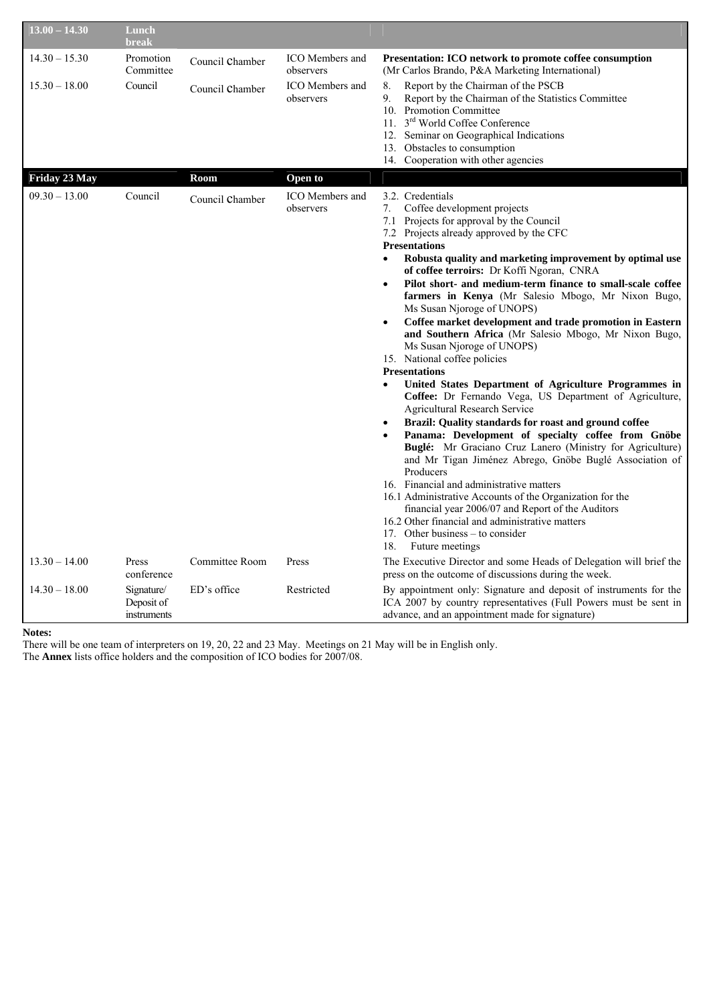| $13.00 - 14.30$ | Lunch<br>break                                        |                 |                                     |                                                                                                                                                                                                                                                                                                                                                                                                                                                                                                                                                                                                                                                                                                                                                                                                                                                                                                                                                                                                                                                                                                                                                                                                                                                                                                                                                                                  |
|-----------------|-------------------------------------------------------|-----------------|-------------------------------------|----------------------------------------------------------------------------------------------------------------------------------------------------------------------------------------------------------------------------------------------------------------------------------------------------------------------------------------------------------------------------------------------------------------------------------------------------------------------------------------------------------------------------------------------------------------------------------------------------------------------------------------------------------------------------------------------------------------------------------------------------------------------------------------------------------------------------------------------------------------------------------------------------------------------------------------------------------------------------------------------------------------------------------------------------------------------------------------------------------------------------------------------------------------------------------------------------------------------------------------------------------------------------------------------------------------------------------------------------------------------------------|
| $14.30 - 15.30$ | Promotion<br>Committee                                | Council Chamber | <b>ICO</b> Members and<br>observers | Presentation: ICO network to promote coffee consumption<br>(Mr Carlos Brando, P&A Marketing International)                                                                                                                                                                                                                                                                                                                                                                                                                                                                                                                                                                                                                                                                                                                                                                                                                                                                                                                                                                                                                                                                                                                                                                                                                                                                       |
| $15.30 - 18.00$ | Council                                               | Council Chamber | ICO Members and<br>observers        | Report by the Chairman of the PSCB<br>8.<br>9.<br>Report by the Chairman of the Statistics Committee<br>10. Promotion Committee<br>11. 3 <sup>rd</sup> World Coffee Conference<br>12. Seminar on Geographical Indications<br>13. Obstacles to consumption<br>14. Cooperation with other agencies                                                                                                                                                                                                                                                                                                                                                                                                                                                                                                                                                                                                                                                                                                                                                                                                                                                                                                                                                                                                                                                                                 |
| Friday 23 May   |                                                       | Room            | Open to                             |                                                                                                                                                                                                                                                                                                                                                                                                                                                                                                                                                                                                                                                                                                                                                                                                                                                                                                                                                                                                                                                                                                                                                                                                                                                                                                                                                                                  |
| $09.30 - 13.00$ | Council                                               | Council Chamber | <b>ICO</b> Members and<br>observers | 3.2. Credentials<br>Coffee development projects<br>7.<br>7.1 Projects for approval by the Council<br>7.2 Projects already approved by the CFC<br><b>Presentations</b><br>Robusta quality and marketing improvement by optimal use<br>$\bullet$<br>of coffee terroirs: Dr Koffi Ngoran, CNRA<br>Pilot short- and medium-term finance to small-scale coffee<br>$\bullet$<br>farmers in Kenya (Mr Salesio Mbogo, Mr Nixon Bugo,<br>Ms Susan Njoroge of UNOPS)<br>Coffee market development and trade promotion in Eastern<br>and Southern Africa (Mr Salesio Mbogo, Mr Nixon Bugo,<br>Ms Susan Njoroge of UNOPS)<br>15. National coffee policies<br><b>Presentations</b><br>United States Department of Agriculture Programmes in<br>$\bullet$<br>Coffee: Dr Fernando Vega, US Department of Agriculture,<br><b>Agricultural Research Service</b><br>Brazil: Quality standards for roast and ground coffee<br>Panama: Development of specialty coffee from Gnöbe<br>Buglé: Mr Graciano Cruz Lanero (Ministry for Agriculture)<br>and Mr Tigan Jiménez Abrego, Gnöbe Buglé Association of<br>Producers<br>16. Financial and administrative matters<br>16.1 Administrative Accounts of the Organization for the<br>financial year 2006/07 and Report of the Auditors<br>16.2 Other financial and administrative matters<br>17. Other business – to consider<br>18.<br>Future meetings |
| $13.30 - 14.00$ | <b>Press</b>                                          | Committee Room  | Press                               | The Executive Director and some Heads of Delegation will brief the                                                                                                                                                                                                                                                                                                                                                                                                                                                                                                                                                                                                                                                                                                                                                                                                                                                                                                                                                                                                                                                                                                                                                                                                                                                                                                               |
| $14.30 - 18.00$ | conference<br>Signature/<br>Deposit of<br>instruments | ED's office     | Restricted                          | press on the outcome of discussions during the week.<br>By appointment only: Signature and deposit of instruments for the<br>ICA 2007 by country representatives (Full Powers must be sent in<br>advance, and an appointment made for signature)                                                                                                                                                                                                                                                                                                                                                                                                                                                                                                                                                                                                                                                                                                                                                                                                                                                                                                                                                                                                                                                                                                                                 |

**Notes:** 

There will be one team of interpreters on 19, 20, 22 and 23 May. Meetings on 21 May will be in English only. The **Annex** lists office holders and the composition of ICO bodies for 2007/08.